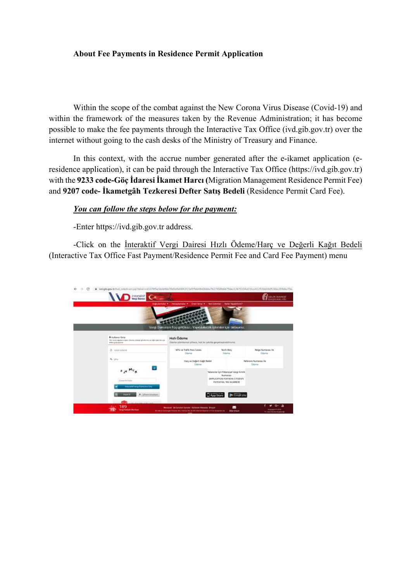## **About Fee Payments in Residence Permit Application**

Within the scope of the combat against the New Corona Virus Disease (Covid-19) and within the framework of the measures taken by the Revenue Administration; it has become possible to make the fee payments through the Interactive Tax Office (ivd.gib.gov.tr) over the internet without going to the cash desks of the Ministry of Treasury and Finance.

In this context, with the accrue number generated after the e-ikamet application (eresidence application), it can be paid through the Interactive Tax Office (https://ivd.gib.gov.tr) with the **9233 code-Göç İdaresi İkamet Harcı (**Migration Management Residence Permit Fee) and **9207 code- İkametgâh Tezkeresi Defter Satış Bedeli** (Residence Permit Card Fee).

## *You can follow the steps below for the payment:*

-Enter https://ivd.gib.gov.tr address.

-Click on the İnteraktif Vergi Dairesi Hızlı Ödeme/Harç ve Değerli Kağıt Bedeli (Interactive Tax Office Fast Payment/Residence Permit Fee and Card Fee Payment) menu